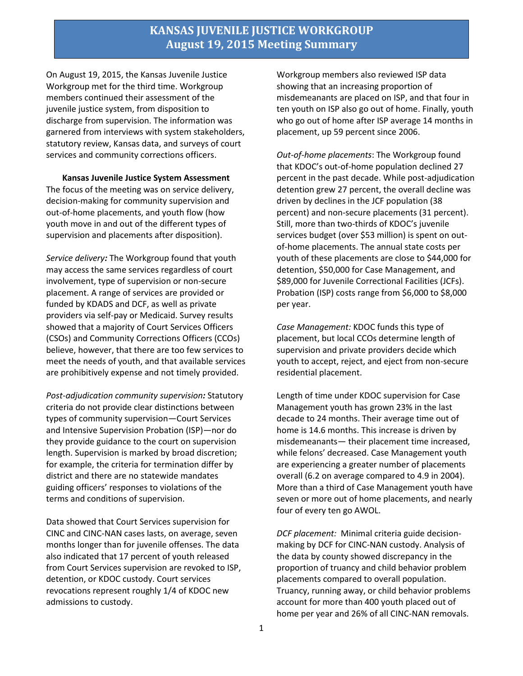# **KANSAS JUVENILE JUSTICE WORKGROUP August 19, 2015 Meeting Summary**

On August 19, 2015, the Kansas Juvenile Justice Workgroup met for the third time. Workgroup members continued their assessment of the juvenile justice system, from disposition to discharge from supervision. The information was garnered from interviews with system stakeholders, statutory review, Kansas data, and surveys of court services and community corrections officers.

**Kansas Juvenile Justice System Assessment** The focus of the meeting was on service delivery, decision-making for community supervision and out-of-home placements, and youth flow (how youth move in and out of the different types of supervision and placements after disposition).

*Service delivery:* The Workgroup found that youth may access the same services regardless of court involvement, type of supervision or non-secure placement. A range of services are provided or funded by KDADS and DCF, as well as private providers via self-pay or Medicaid. Survey results showed that a majority of Court Services Officers (CSOs) and Community Corrections Officers (CCOs) believe, however, that there are too few services to meet the needs of youth, and that available services are prohibitively expense and not timely provided.

*Post-adjudication community supervision:* Statutory criteria do not provide clear distinctions between types of community supervision—Court Services and Intensive Supervision Probation (ISP)—nor do they provide guidance to the court on supervision length. Supervision is marked by broad discretion; for example, the criteria for termination differ by district and there are no statewide mandates guiding officers' responses to violations of the terms and conditions of supervision.

Data showed that Court Services supervision for CINC and CINC-NAN cases lasts, on average, seven months longer than for juvenile offenses. The data also indicated that 17 percent of youth released from Court Services supervision are revoked to ISP, detention, or KDOC custody. Court services revocations represent roughly 1/4 of KDOC new admissions to custody.

Workgroup members also reviewed ISP data showing that an increasing proportion of misdemeanants are placed on ISP, and that four in ten youth on ISP also go out of home. Finally, youth who go out of home after ISP average 14 months in placement, up 59 percent since 2006.

*Out-of-home placements*: The Workgroup found that KDOC's out-of-home population declined 27 percent in the past decade. While post-adjudication detention grew 27 percent, the overall decline was driven by declines in the JCF population (38 percent) and non-secure placements (31 percent). Still, more than two-thirds of KDOC's juvenile services budget (over \$53 million) is spent on outof-home placements. The annual state costs per youth of these placements are close to \$44,000 for detention, \$50,000 for Case Management, and \$89,000 for Juvenile Correctional Facilities (JCFs). Probation (ISP) costs range from \$6,000 to \$8,000 per year.

*Case Management:* KDOC funds this type of placement, but local CCOs determine length of supervision and private providers decide which youth to accept, reject, and eject from non-secure residential placement.

Length of time under KDOC supervision for Case Management youth has grown 23% in the last decade to 24 months. Their average time out of home is 14.6 months. This increase is driven by misdemeanants— their placement time increased, while felons' decreased. Case Management youth are experiencing a greater number of placements overall (6.2 on average compared to 4.9 in 2004). More than a third of Case Management youth have seven or more out of home placements, and nearly four of every ten go AWOL.

*DCF placement:* Minimal criteria guide decisionmaking by DCF for CINC-NAN custody. Analysis of the data by county showed discrepancy in the proportion of truancy and child behavior problem placements compared to overall population. Truancy, running away, or child behavior problems account for more than 400 youth placed out of home per year and 26% of all CINC-NAN removals.